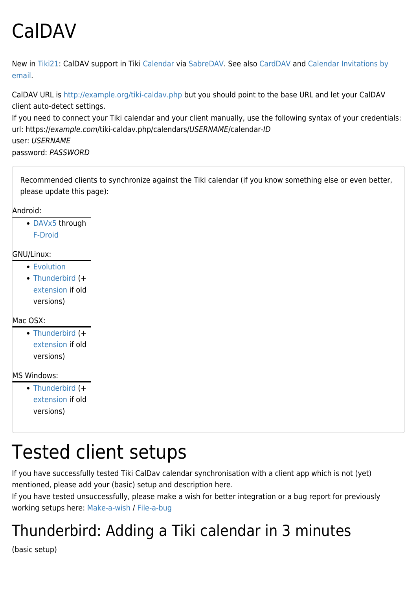# CalDAV

New in [Tiki21:](https://doc.tiki.org/Tiki21) CalDAV support in Tiki [Calendar](https://doc.tiki.org/Calendar) via [SabreDAV](https://doc.tiki.org/SabreDAV). See also [CardDAV](https://doc.tiki.org/CardDAV) and [Calendar Invitations by](https://doc.tiki.org/Calendar-Invitations-by-email) [email](https://doc.tiki.org/Calendar-Invitations-by-email).

CalDAV URL is <http://example.org/tiki-caldav.php> but you should point to the base URL and let your CalDAV client auto-detect settings. If you need to connect your Tiki calendar and your client manually, use the following syntax of your credentials: url: https://example.com/tiki-caldav.php/calendars/USERNAME/calendar-ID user: USERNAME

password: PASSWORD

Recommended clients to synchronize against the Tiki calendar (if you know something else or even better, please update this page):

Android:

[DAVx5](https://f-droid.org/en/packages/at.bitfire.davdroid/) through [F-Droid](https://f-droid.org/)

#### GNU/Linux:

- **[Evolution](https://wiki.gnome.org/Apps/Evolution)**
- [Thunderbird](https://www.thunderbird.net/) (+ [extension](https://www.thunderbird.net/en-US/calendar/) if old versions)

#### Mac OSX<sup>.</sup>

• [Thunderbird](https://www.thunderbird.net/) (+ [extension](https://www.thunderbird.net/en-US/calendar/) if old versions)

MS Windows:

• [Thunderbird](https://www.thunderbird.net/) (+ [extension](https://www.thunderbird.net/en-US/calendar/) if old versions)

## Tested client setups

If you have successfully tested Tiki CalDav calendar synchronisation with a client app which is not (yet) mentioned, please add your (basic) setup and description here.

If you have tested unsuccessfully, please make a wish for better integration or a bug report for previously working setups here: [Make-a-wish](http://dev.tiki.org/Make-a-wish) / [File-a-bug](http://dev.tiki.org/File-a-bug)

### Thunderbird: Adding a Tiki calendar in 3 minutes

(basic setup)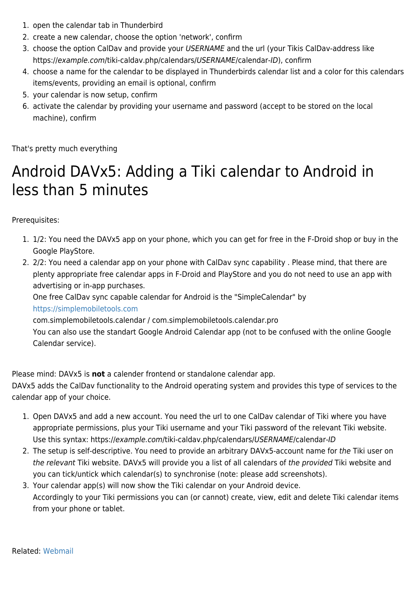- 1. open the calendar tab in Thunderbird
- 2. create a new calendar, choose the option 'network', confirm
- 3. choose the option CalDav and provide your USERNAME and the url (your Tikis CalDav-address like https://example.com/tiki-caldav.php/calendars/USERNAME/calendar-ID), confirm
- 4. choose a name for the calendar to be displayed in Thunderbirds calendar list and a color for this calendars items/events, providing an email is optional, confirm
- 5. your calendar is now setup, confirm
- 6. activate the calendar by providing your username and password (accept to be stored on the local machine), confirm

That's pretty much everything

### Android DAVx5: Adding a Tiki calendar to Android in less than 5 minutes

Prerequisites:

- 1. 1/2: You need the DAVx5 app on your phone, which you can get for free in the F-Droid shop or buy in the Google PlayStore.
- 2. 2/2: You need a calendar app on your phone with CalDav sync capability . Please mind, that there are plenty appropriate free calendar apps in F-Droid and PlayStore and you do not need to use an app with advertising or in-app purchases.

One free CalDav sync capable calendar for Android is the "SimpleCalendar" by <https://simplemobiletools.com>

com.simplemobiletools.calendar / com.simplemobiletools.calendar.pro

You can also use the standart Google Android Calendar app (not to be confused with the online Google Calendar service).

Please mind: DAVx5 is **not** a calender frontend or standalone calendar app.

DAVx5 adds the CalDav functionality to the Android operating system and provides this type of services to the calendar app of your choice.

- 1. Open DAVx5 and add a new account. You need the url to one CalDav calendar of Tiki where you have appropriate permissions, plus your Tiki username and your Tiki password of the relevant Tiki website. Use this syntax: https://example.com/tiki-caldav.php/calendars/USERNAME/calendar-ID
- 2. The setup is self-descriptive. You need to provide an arbitrary DAVx5-account name for the Tiki user on the relevant Tiki website. DAVx5 will provide you a list of all calendars of the provided Tiki website and you can tick/untick which calendar(s) to synchronise (note: please add screenshots).
- 3. Your calendar app(s) will now show the Tiki calendar on your Android device. Accordingly to your Tiki permissions you can (or cannot) create, view, edit and delete Tiki calendar items from your phone or tablet.